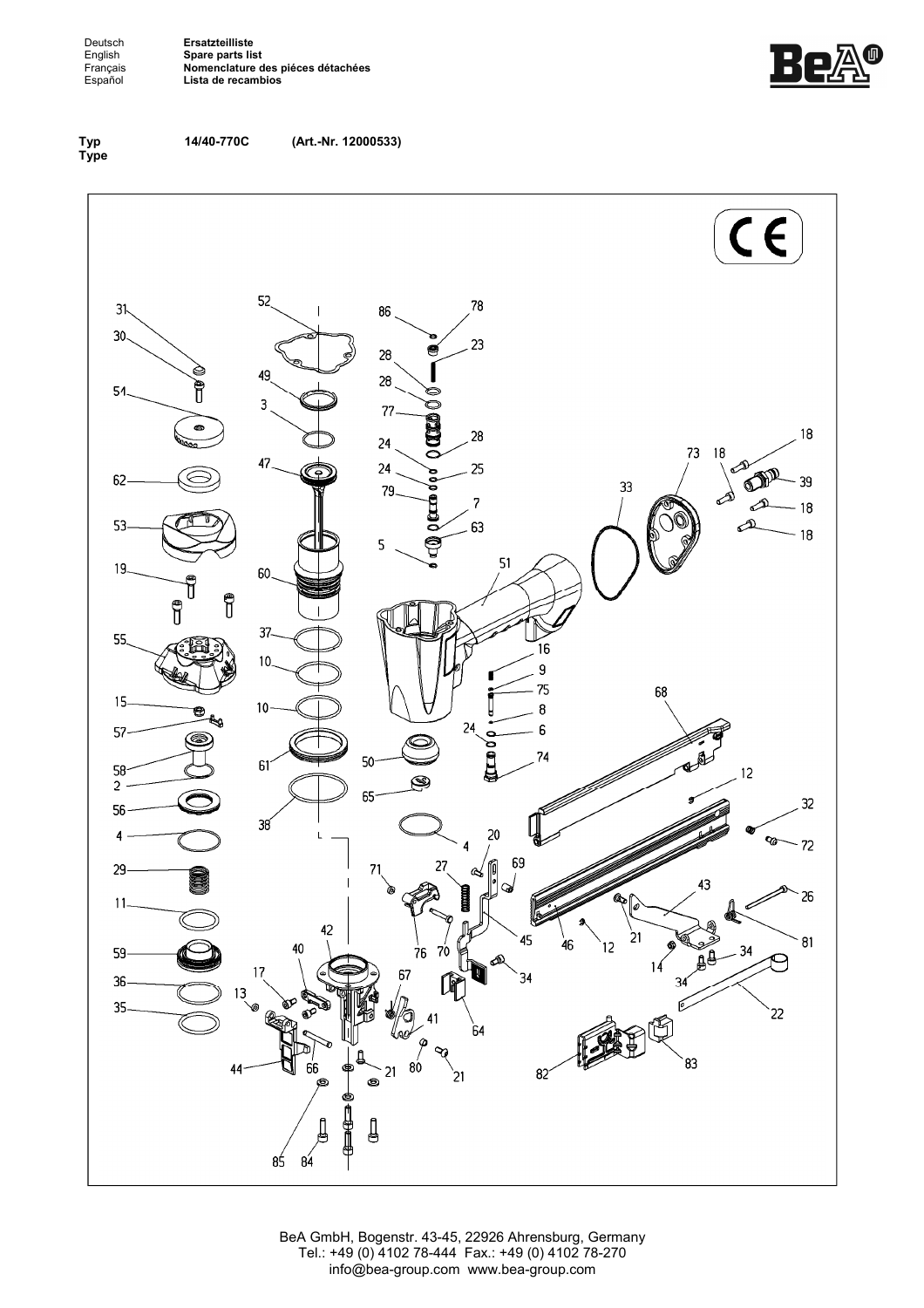Deutsch**ngende Ersatzteilliste<br>
English Spare parts lis<br>
Français <b>Nomenclature**<br>
Español Lista de recan English **Spare parts list**  Français **Nomenclature des piéces détachées**  Español **Lista de recambios**





**14/40-770C (Art.-Nr. 12000533)**



BeA GmbH, Bogenstr. 43-45, 22926 Ahrensburg, Germany Tel.: +49 (0) 4102 78-444 Fax.: +49 (0) 4102 78-270 info@bea-group.com www.bea-group.com